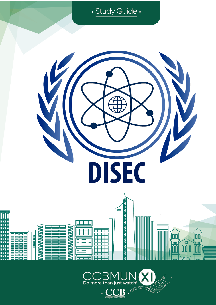

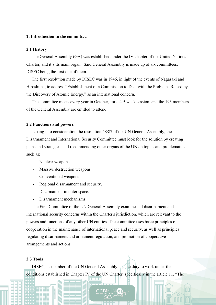### **2. Introduction to the committee.**

#### **2.1 History**

 The General Assembly (GA) was established under the IV chapter of the United Nations Charter, and it's its main organ. Said General Assembly is made up of six committees, DISEC being the first one of them.

 The first resolution made by DISEC was in 1946, in light of the events of Nagasaki and Hiroshima, to address "Establishment of a Commission to Deal with the Problems Raised by the Discovery of Atomic Energy." as an international concern.

 The committee meets every year in October, for a 4-5 week session, and the 193 members of the General Assembly are entitled to attend.

### **2.2 Functions and powers**

 Taking into consideration the resolution 48/87 of the UN General Assembly, the Disarmament and International Security Committee must look for the solution by creating plans and strategies, and recommending other organs of the UN on topics and problematics such as:

- Nuclear weapons
- Massive destruction weapons
- Conventional weapons
- Regional disarmament and security,
- Disarmament in outer space.
- Disarmament mechanisms.

 The First Committee of the UN General Assembly examines all disarmament and international security concerns within the Charter's jurisdiction, which are relevant to the powers and functions of any other UN entities. The committee uses basic principles of cooperation in the maintenance of international peace and security, as well as principles regulating disarmament and armament regulation, and promotion of cooperative arrangements and actions.

### **2.3 Tools**

 DISEC, as member of the UN General Assembly has the duty to work under the conditions established in Chapter IV of the UN Charter, specifically in the article 11, "The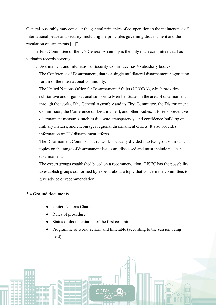General Assembly may consider the general principles of co-operation in the maintenance of international peace and security, including the principles governing disarmament and the regulation of armaments [...]".

 The First Committee of the UN General Assembly is the only main committee that has verbatim records coverage.

The Disarmament and International Security Committee has 4 subsidiary bodies:

- The Conference of Disarmament, that is a single multilateral disarmament negotiating forum of the international community.
- The United Nations Office for Disarmament Affairs (UNODA), which provides substantive and organizational support to Member States in the area of disarmament through the work of the General Assembly and its First Committee, the Disarmament Commission, the Conference on Disarmament, and other bodies. It fosters preventive disarmament measures, such as dialogue, transparency, and confidence-building on military matters, and encourages regional disarmament efforts. It also provides information on UN disarmament efforts.
- The Disarmament Commission: its work is usually divided into two groups, in which topics on the range of disarmament issues are discussed and must include nuclear disarmament.
- The expert groups established based on a recommendation. DISEC has the possibility to establish groups conformed by experts about a topic that concern the committee, to give advice or recommendation.

# **2.4 Ground documents**

- **United Nations Charter**
- Rules of procedure
- Status of documentation of the first committee
- Programme of work, action, and timetable (according to the session being held)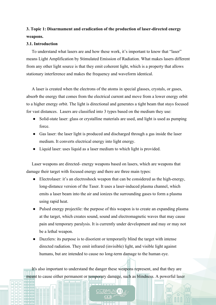# **3. Topic 1: Disarmament and eradication of the production of laser-directed energy weapons.**

### **3.1. Introduction**

 To understand what lasers are and how these work, it's important to know that "laser" means Light Amplification by Stimulated Emission of Radiation. What makes lasers different from any other light source is that they emit coherent light, which is a property that allows stationary interference and makes the frequency and waveform identical.

 A laser is created when the electrons of the atoms in special glasses, crystals, or gases, absorb the energy that comes from the electrical current and move from a lower energy orbit to a higher energy orbit. The light is directional and generates a tight beam that stays focused for vast distances. Lasers are classified into 3 types based on the medium they use:

- Solid-state laser: glass or crystalline materials are used, and light is used as pumping force.
- Gas laser: the laser light is produced and discharged through a gas inside the laser medium. It converts electrical energy into light energy.
- Liquid laser: uses liquid as a laser medium to which light is provided.

 Laser weapons are directed- energy weapons based on lasers, which are weapons that damage their target with focused energy and there are three main types:

- Electrolaser: it's an electroshock weapon that can be considered as the high-energy, long-distance version of the Taser. It uses a laser-induced plasma channel, which emits a laser beam into the air and ionizes the surrounding gases to form a plasma using rapid heat.
- Pulsed energy projectile: the purpose of this weapon is to create an expanding plasma at the target, which creates sound, sound and electromagnetic waves that may cause pain and temporary paralysis. It is currently under development and may or may not be a lethal weapon.
- Dazzlers: its purpose is to disorient or temporarily blind the target with intense directed radiation. They emit infrared (invisible) light, and visible light against humans, but are intended to cause no long-term damage to the human eye.

 It's also important to understand the danger these weapons represent, and that they are meant to cause either permanent or temporary damage, such as blindness. A powerful laser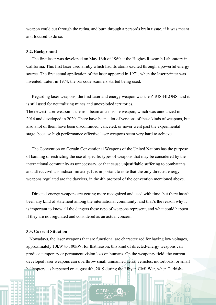weapon could cut through the retina, and burn through a person's brain tissue, if it was meant and focused to do so.

#### **3.2. Background**

 The first laser was developed on May 16th of 1960 at the Hughes Research Laboratory in California. This first laser used a ruby which had its atoms excited through a powerful energy source. The first actual application of the laser appeared in 1971, when the laser printer was invented. Later, in 1974, the bar code scanners started being used.

 Regarding laser weapons, the first laser and energy weapon was the ZEUS-HLONS, and it is still used for neutralizing mines and unexploded territories.

The newest laser weapon is the iron beam anti-missile weapon, which was announced in 2014 and developed in 2020. There have been a lot of versions of these kinds of weapons, but also a lot of them have been discontinued, canceled, or never went past the experimental stage, because high performance effective laser weapons seem very hard to achieve.

 The Convention on Certain Conventional Weapons of the United Nations has the purpose of banning or restricting the use of specific types of weapons that may be considered by the international community as unnecessary, or that cause unjustifiable suffering to combatants and affect civilians indiscriminately. It is important to note that the only directed energy weapons regulated are the dazzlers, in the 4th protocol of the convention mentioned above.

 Directed-energy weapons are getting more recognized and used with time, but there hasn't been any kind of statement among the international community, and that's the reason why it is important to know all the dangers these type of weapons represent, and what could happen if they are not regulated and considered as an actual concern.

### **3.3. Current Situation**

 Nowadays, the laser weapons that are functional are characterized for having low voltages, approximately 10kW to 100kW, for that reason, this kind of directed-energy weapons can produce temporary or permanent vision loss on humans. On the weaponry field, the current developed laser weapons can overthrow small unmanned aerial vehicles, motorboats, or small helicopters, as happened on august 4th, 2019 during the Libyan Civil War, when Turkish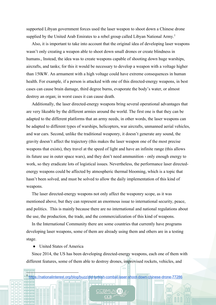supported Libyan government forces used the laser weapon to shoot down a Chinese drone supplied by the United Arab Emirates to a rebel group called Libyan National Army.<sup>1</sup>

 Also, it is important to take into account that the original idea of developing laser weapons wasn't only creating a weapon able to shoot down small drones or create blindness in humans., Instead, the idea was to create weapons capable of shooting down huge warships, aircrafts, and tanks; for this it would be necessary to develop a weapon with a voltage higher than 150kW. An armament with a high voltage could have extreme consequences in human health. For example, if a person is attacked with one of this directed-energy weapons, in best cases can cause brain damage, third degree burns, evaporate the body's water, or almost destroy an organ; in worst cases it can cause death.

 Additionally, the laser directed-energy weapons bring several operational advantages that are very likeable by the different armies around the world. The first one is that they can be adapted to the different platforms that an army needs, in other words, the laser weapons can be adapted to different types of warships, helicopters, war aircrafts, unmanned aerial vehicles, and war cars. Second, unlike the traditional weaponry, it doesn't generate any sound, the gravity doesn't affect the trajectory (this makes the laser weapon one of the most precise weapons that exists), they travel at the speed of light and have an infinite range (this allows its future use in outer space wars), and they don't need ammunition - only enough energy to work, so they eradicate lots of logistical issues. Nevertheless, the performance laser directedenergy weapons could be affected by atmospheric thermal blooming, which is a topic that hasn't been solved, and must be solved to allow the daily implementation of this kind of weapons.

 The laser directed-energy weapons not only affect the weaponry scope, as it was mentioned above, but they can represent an enormous issue to international security, peace, and politics. This is mainly because there are no international and national regulations about the use, the production, the trade, and the commercialization of this kind of weapons.

 In the International Community there are some countries that currently have programs developing laser weapons, some of them are already using them and others are in a testing stage.

● United States of America

 Since 2014, the US has been developing directed-energy weapons, each one of them with different features, some of them able to destroy drones, improvised rockets, vehicles, and

∼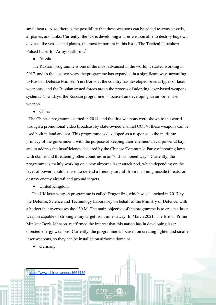small boats. Also, there is the possibility that these weapons can be added to army vessels, airplanes, and tanks. Currently, the US is developing a laser weapon able to destroy huge war devices like vessels and planes, the most important in this list is The Tactical Ultrashort Pulsed Laser for Army Platforms.2

● Russia

 The Russian programme is one of the most advanced in the world, it started working in 2017, and in the last two years the programme has expanded in a significant way. according to Russian Defense Minister Yuri Borisov, the country has developed several types of laser weaponry, and the Russian armed forces are in the process of adopting laser-based weapons systems. Nowadays, the Russian programme is focused on developing an airborne laser weapon.

● China

 The Chinese programme started in 2014, and the first weapons were shown to the world through a promotional video broadcast by state-owned channel CCTV; these weapons can be used both in land and sea. This programme is developed as a response to the maritime primacy of the government, with the purpose of keeping their enemies' naval power at bay; and to address the insufficiency declared by the Chinese Communist Party of creating laws with claims and threatening other countries in an "old-fashioned way". Currently, the programme is mainly working on a new airborne laser attack pod, which depending on the level of power, could be used to defend a friendly aircraft from incoming missile threats, or destroy enemy aircraft and ground targets.

● United Kingdom

 The UK laser weapon programme is called Dragonfire, which was launched in 2017 by the Defense, Science and Technology Laboratory on behalf of the Ministry of Defence, with a budget that overpasses the £30 M. The main objective of the programme is to create a laser weapon capable of striking a tiny target from miles away. In March 2021, The British Prime Minister Boris Johnson, reaffirmed the interest that this nation has in developing laser directed energy weapons. Currently, the programme is focused on creating lighter and smaller laser weapons, so they can be installed on airborne domains.

**Germany** 

<sup>2</sup> https://www.sbir.gov/node/1654485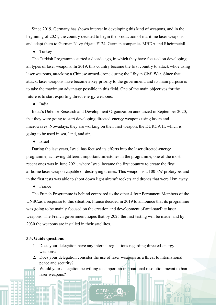Since 2019, Germany has shown interest in developing this kind of weapons, and in the beginning of 2021, the country decided to begin the production of maritime laser weapons and adapt them to German Navy frigate F124, German companies MBDA and Rheinmetall.

• Turkey

 The Turkish Programme started a decade ago, in which they have focused on developing all types of laser weapons. In 2019, this country became the first country to attack who? using laser weapons, attacking a Chinese armed-drone during the Libyan Civil War. Since that attack, laser weapons have become a key priority to the government, and its main purpose is to take the maximum advantage possible in this field. One of the main objectives for the future is to start exporting direct energy weapons.

● India

 India's Defense Research and Development Organization announced in September 2020, that they were going to start developing directed-energy weapons using lasers and microwaves. Nowadays, they are working on their first weapon, the DURGA II, which is going to be used in sea, land, and air.

● Israel

 During the last years, Israel has focused its efforts into the laser directed-energy programme, achieving different important milestones in the programme, one of the most recent ones was in June 2021, where Israel became the first country to create the first airborne laser weapon capable of destroying drones. This weapon is a 100-kW prototype, and in the first tests was able to shoot down light aircraft rockets and drones that were 1km away.

● France

 The French Programme is behind compared to the other 4 four Permanent Members of the UNSC.as a response to this situation, France decided in 2019 to announce that its programme was going to be mainly focused on the creation and development of anti-satellite laser weapons. The French government hopes that by 2025 the first testing will be made, and by 2030 the weapons are installed in their satellites.

### **3.4. Guide questions**

- 1. Does your delegation have any internal regulations regarding directed-energy weapons?
- 2. Does your delegation consider the use of laser weapons as a threat to international peace and security?
- Would your delegation be willing to support an international resolution meant to ban laser weapons?